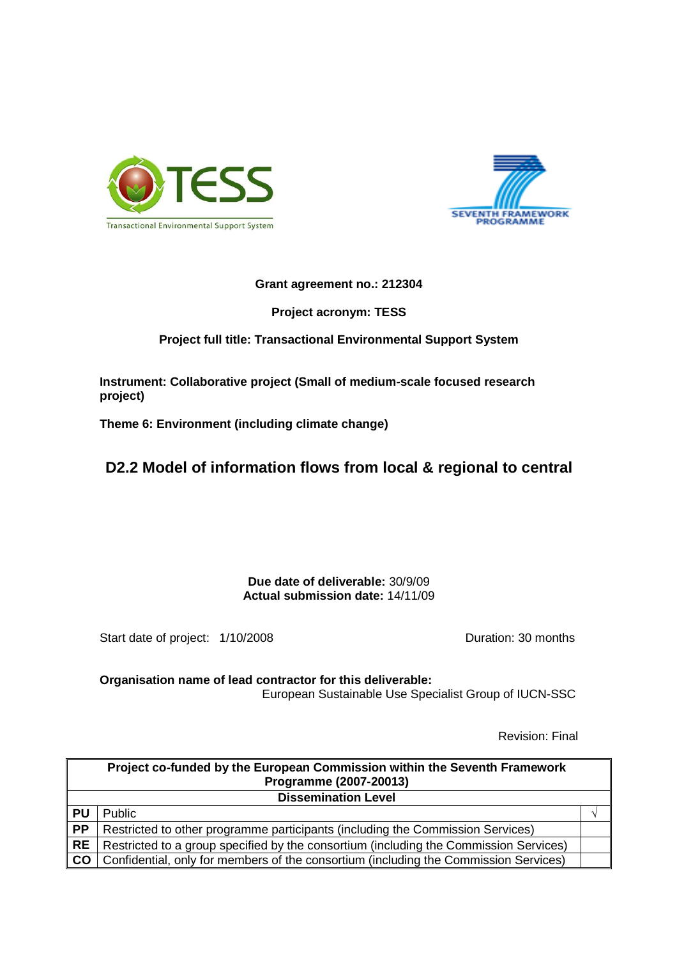



#### **Grant agreement no.: 212304**

**Project acronym: TESS** 

# **Project full title: Transactional Environmental Support System**

**Instrument: Collaborative project (Small of medium-scale focused research project)** 

**Theme 6: Environment (including climate change)** 

# **D2.2 Model of information flows from local & regional to central**

**Due date of deliverable:** 30/9/09 **Actual submission date:** 14/11/09

Start date of project:  $1/10/2008$  Duration: 30 months

**Organisation name of lead contractor for this deliverable:** European Sustainable Use Specialist Group of IUCN-SSC

Revision: Final

| Project co-funded by the European Commission within the Seventh Framework<br>Programme (2007-20013) |                                                                                       |  |  |  |  |
|-----------------------------------------------------------------------------------------------------|---------------------------------------------------------------------------------------|--|--|--|--|
| <b>Dissemination Level</b>                                                                          |                                                                                       |  |  |  |  |
| <b>PU</b>                                                                                           | <b>Public</b>                                                                         |  |  |  |  |
| <b>PP</b>                                                                                           | Restricted to other programme participants (including the Commission Services)        |  |  |  |  |
| <b>RE</b>                                                                                           | Restricted to a group specified by the consortium (including the Commission Services) |  |  |  |  |
| <b>CO</b>                                                                                           | Confidential, only for members of the consortium (including the Commission Services)  |  |  |  |  |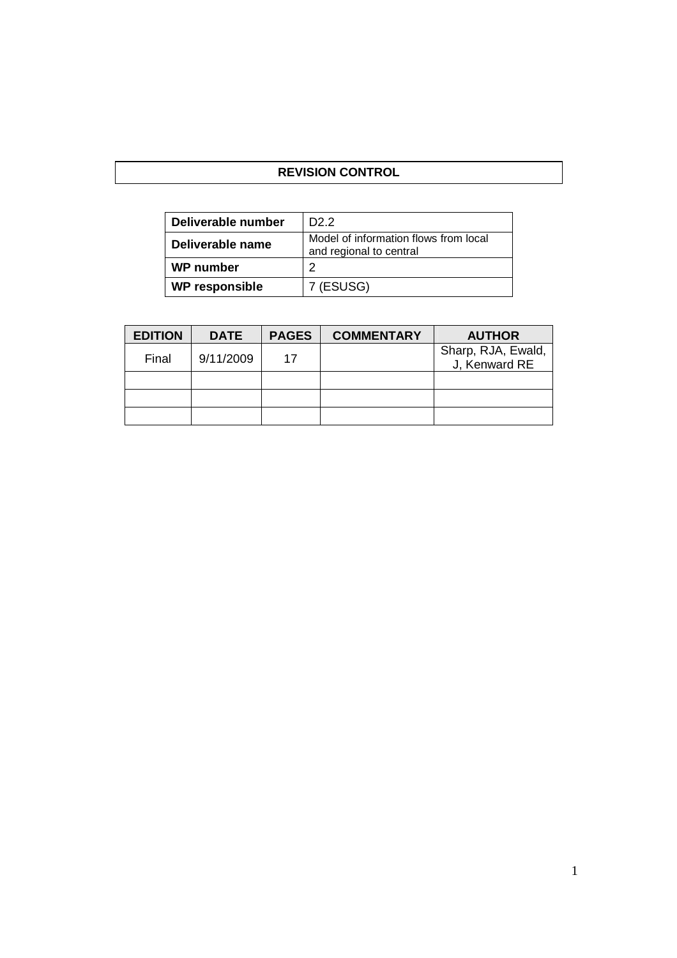# **REVISION CONTROL**

| Deliverable number    | D <sub>2</sub> .2                                                |
|-----------------------|------------------------------------------------------------------|
| Deliverable name      | Model of information flows from local<br>and regional to central |
| <b>WP</b> number      | າ                                                                |
| <b>WP responsible</b> | 7 (ESUSG)                                                        |

| <b>EDITION</b> | <b>DATE</b> | <b>PAGES</b> | <b>COMMENTARY</b> | <b>AUTHOR</b>                       |
|----------------|-------------|--------------|-------------------|-------------------------------------|
| Final          | 9/11/2009   | 17           |                   | Sharp, RJA, Ewald,<br>J, Kenward RE |
|                |             |              |                   |                                     |
|                |             |              |                   |                                     |
|                |             |              |                   |                                     |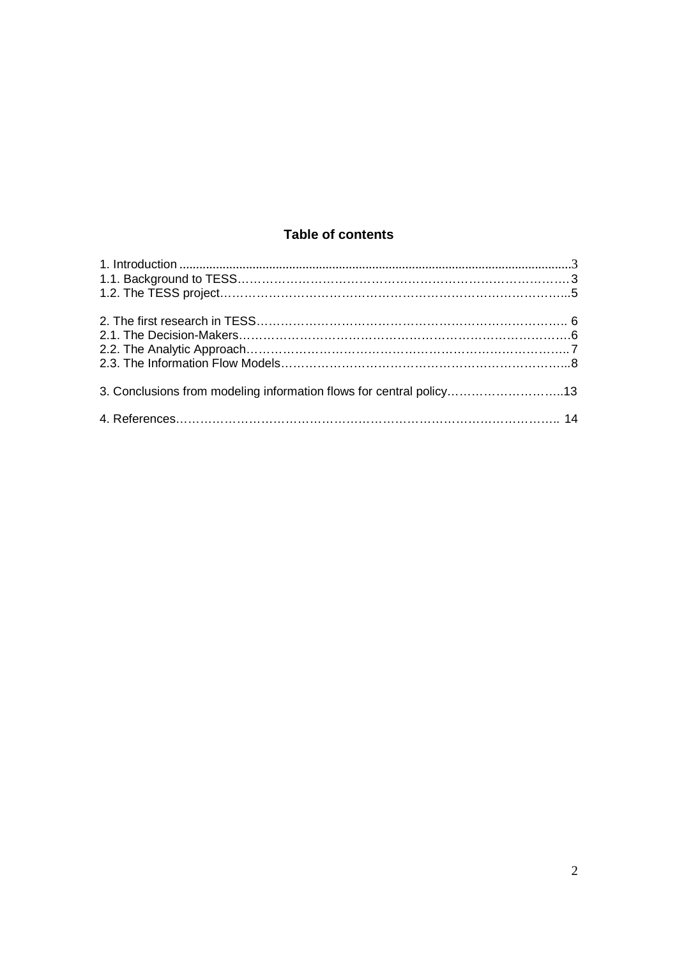# **Table of contents**

| 3. Conclusions from modeling information flows for central policy13 |  |
|---------------------------------------------------------------------|--|
|                                                                     |  |
|                                                                     |  |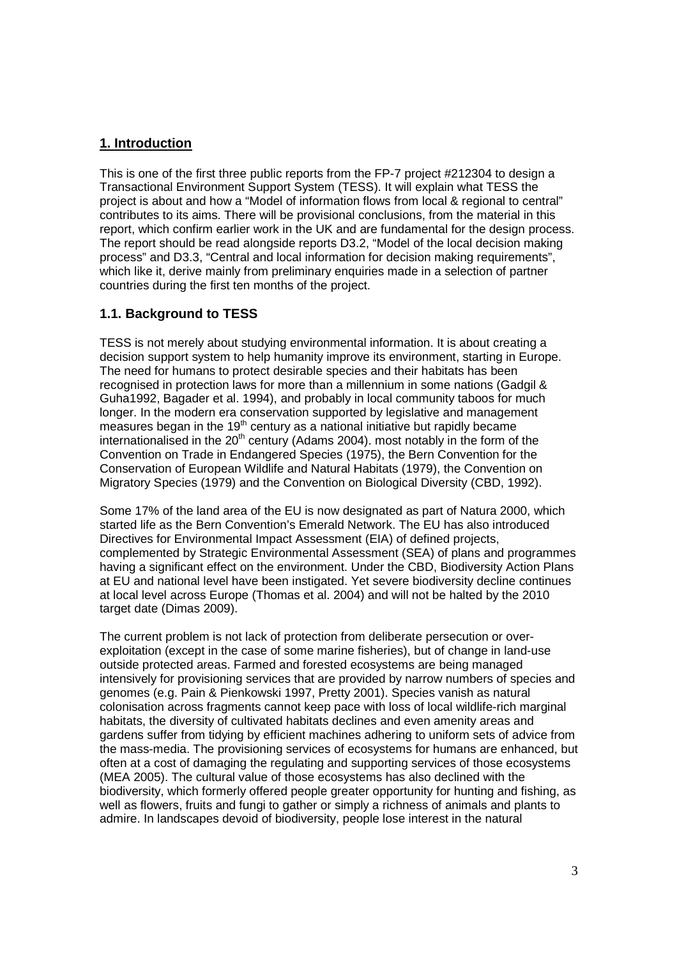# **1. Introduction**

This is one of the first three public reports from the FP-7 project #212304 to design a Transactional Environment Support System (TESS). It will explain what TESS the project is about and how a "Model of information flows from local & regional to central" contributes to its aims. There will be provisional conclusions, from the material in this report, which confirm earlier work in the UK and are fundamental for the design process. The report should be read alongside reports D3.2, "Model of the local decision making process" and D3.3, "Central and local information for decision making requirements", which like it, derive mainly from preliminary enquiries made in a selection of partner countries during the first ten months of the project.

# **1.1. Background to TESS**

TESS is not merely about studying environmental information. It is about creating a decision support system to help humanity improve its environment, starting in Europe. The need for humans to protect desirable species and their habitats has been recognised in protection laws for more than a millennium in some nations (Gadgil & Guha1992, Bagader et al. 1994), and probably in local community taboos for much longer. In the modern era conservation supported by legislative and management measures began in the  $19<sup>th</sup>$  century as a national initiative but rapidly became internationalised in the  $20<sup>th</sup>$  century (Adams 2004). most notably in the form of the Convention on Trade in Endangered Species (1975), the Bern Convention for the Conservation of European Wildlife and Natural Habitats (1979), the Convention on Migratory Species (1979) and the Convention on Biological Diversity (CBD, 1992).

Some 17% of the land area of the EU is now designated as part of Natura 2000, which started life as the Bern Convention's Emerald Network. The EU has also introduced Directives for Environmental Impact Assessment (EIA) of defined projects, complemented by Strategic Environmental Assessment (SEA) of plans and programmes having a significant effect on the environment. Under the CBD, Biodiversity Action Plans at EU and national level have been instigated. Yet severe biodiversity decline continues at local level across Europe (Thomas et al. 2004) and will not be halted by the 2010 target date (Dimas 2009).

The current problem is not lack of protection from deliberate persecution or overexploitation (except in the case of some marine fisheries), but of change in land-use outside protected areas. Farmed and forested ecosystems are being managed intensively for provisioning services that are provided by narrow numbers of species and genomes (e.g. Pain & Pienkowski 1997, Pretty 2001). Species vanish as natural colonisation across fragments cannot keep pace with loss of local wildlife-rich marginal habitats, the diversity of cultivated habitats declines and even amenity areas and gardens suffer from tidying by efficient machines adhering to uniform sets of advice from the mass-media. The provisioning services of ecosystems for humans are enhanced, but often at a cost of damaging the regulating and supporting services of those ecosystems (MEA 2005). The cultural value of those ecosystems has also declined with the biodiversity, which formerly offered people greater opportunity for hunting and fishing, as well as flowers, fruits and fungi to gather or simply a richness of animals and plants to admire. In landscapes devoid of biodiversity, people lose interest in the natural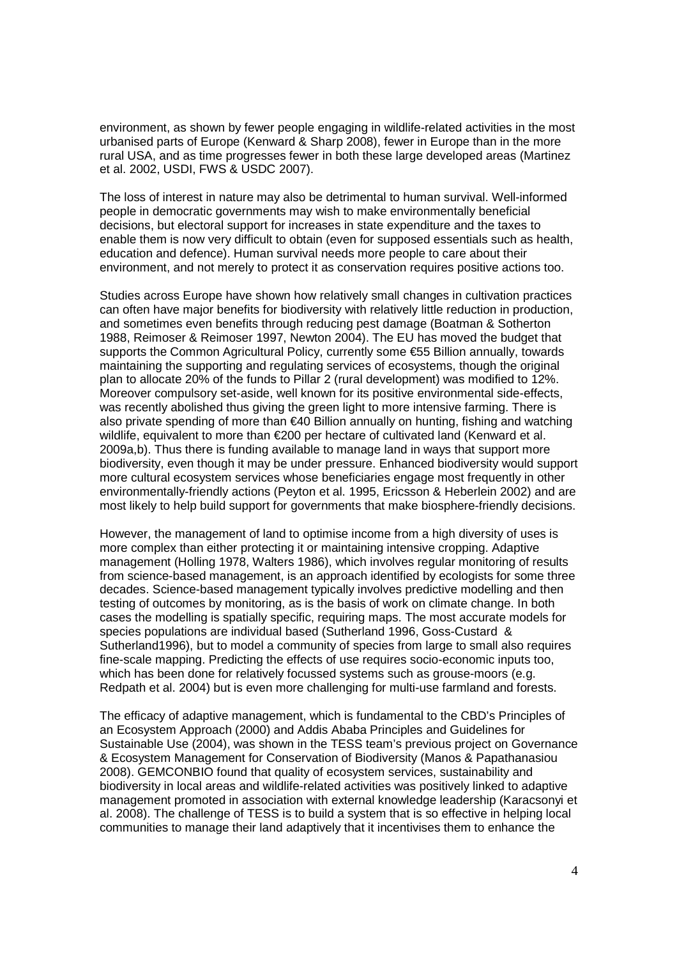environment, as shown by fewer people engaging in wildlife-related activities in the most urbanised parts of Europe (Kenward & Sharp 2008), fewer in Europe than in the more rural USA, and as time progresses fewer in both these large developed areas (Martinez et al. 2002, USDI, FWS & USDC 2007).

The loss of interest in nature may also be detrimental to human survival. Well-informed people in democratic governments may wish to make environmentally beneficial decisions, but electoral support for increases in state expenditure and the taxes to enable them is now very difficult to obtain (even for supposed essentials such as health, education and defence). Human survival needs more people to care about their environment, and not merely to protect it as conservation requires positive actions too.

Studies across Europe have shown how relatively small changes in cultivation practices can often have major benefits for biodiversity with relatively little reduction in production, and sometimes even benefits through reducing pest damage (Boatman & Sotherton 1988, Reimoser & Reimoser 1997, Newton 2004). The EU has moved the budget that supports the Common Agricultural Policy, currently some €55 Billion annually, towards maintaining the supporting and regulating services of ecosystems, though the original plan to allocate 20% of the funds to Pillar 2 (rural development) was modified to 12%. Moreover compulsory set-aside, well known for its positive environmental side-effects, was recently abolished thus giving the green light to more intensive farming. There is also private spending of more than €40 Billion annually on hunting, fishing and watching wildlife, equivalent to more than €200 per hectare of cultivated land (Kenward et al. 2009a,b). Thus there is funding available to manage land in ways that support more biodiversity, even though it may be under pressure. Enhanced biodiversity would support more cultural ecosystem services whose beneficiaries engage most frequently in other environmentally-friendly actions (Peyton et al. 1995, Ericsson & Heberlein 2002) and are most likely to help build support for governments that make biosphere-friendly decisions.

However, the management of land to optimise income from a high diversity of uses is more complex than either protecting it or maintaining intensive cropping. Adaptive management (Holling 1978, Walters 1986), which involves regular monitoring of results from science-based management, is an approach identified by ecologists for some three decades. Science-based management typically involves predictive modelling and then testing of outcomes by monitoring, as is the basis of work on climate change. In both cases the modelling is spatially specific, requiring maps. The most accurate models for species populations are individual based (Sutherland 1996, Goss-Custard & Sutherland1996), but to model a community of species from large to small also requires fine-scale mapping. Predicting the effects of use requires socio-economic inputs too, which has been done for relatively focussed systems such as grouse-moors (e.g. Redpath et al. 2004) but is even more challenging for multi-use farmland and forests.

The efficacy of adaptive management, which is fundamental to the CBD's Principles of an Ecosystem Approach (2000) and Addis Ababa Principles and Guidelines for Sustainable Use (2004), was shown in the TESS team's previous project on Governance & Ecosystem Management for Conservation of Biodiversity (Manos & Papathanasiou 2008). GEMCONBIO found that quality of ecosystem services, sustainability and biodiversity in local areas and wildlife-related activities was positively linked to adaptive management promoted in association with external knowledge leadership (Karacsonyi et al. 2008). The challenge of TESS is to build a system that is so effective in helping local communities to manage their land adaptively that it incentivises them to enhance the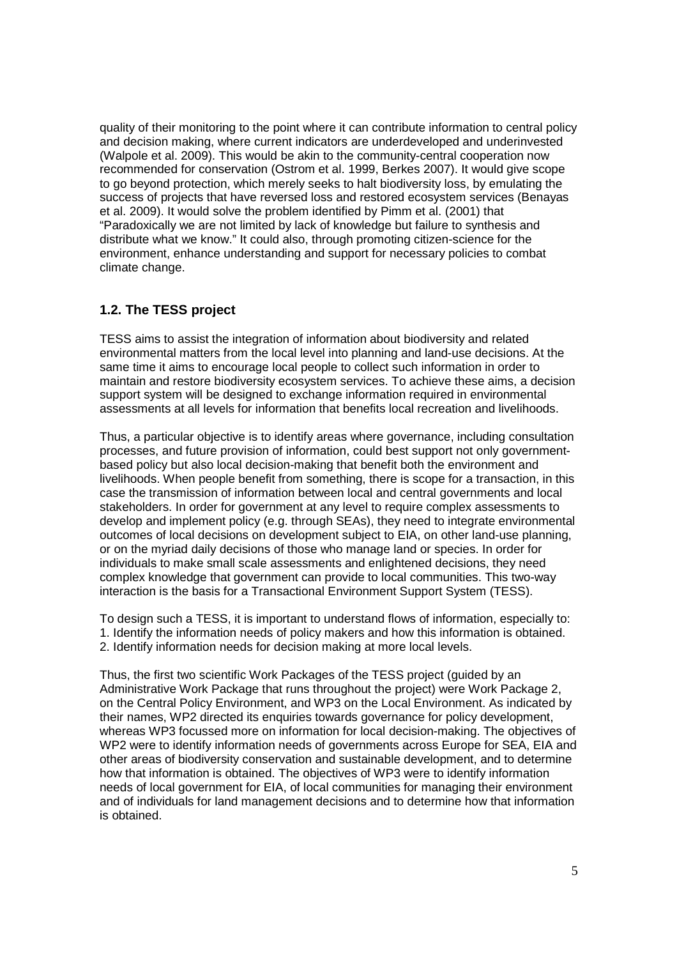quality of their monitoring to the point where it can contribute information to central policy and decision making, where current indicators are underdeveloped and underinvested (Walpole et al. 2009). This would be akin to the community-central cooperation now recommended for conservation (Ostrom et al. 1999, Berkes 2007). It would give scope to go beyond protection, which merely seeks to halt biodiversity loss, by emulating the success of projects that have reversed loss and restored ecosystem services (Benayas et al. 2009). It would solve the problem identified by Pimm et al. (2001) that "Paradoxically we are not limited by lack of knowledge but failure to synthesis and distribute what we know." It could also, through promoting citizen-science for the environment, enhance understanding and support for necessary policies to combat climate change.

#### **1.2. The TESS project**

TESS aims to assist the integration of information about biodiversity and related environmental matters from the local level into planning and land-use decisions. At the same time it aims to encourage local people to collect such information in order to maintain and restore biodiversity ecosystem services. To achieve these aims, a decision support system will be designed to exchange information required in environmental assessments at all levels for information that benefits local recreation and livelihoods.

Thus, a particular objective is to identify areas where governance, including consultation processes, and future provision of information, could best support not only governmentbased policy but also local decision-making that benefit both the environment and livelihoods. When people benefit from something, there is scope for a transaction, in this case the transmission of information between local and central governments and local stakeholders. In order for government at any level to require complex assessments to develop and implement policy (e.g. through SEAs), they need to integrate environmental outcomes of local decisions on development subject to EIA, on other land-use planning, or on the myriad daily decisions of those who manage land or species. In order for individuals to make small scale assessments and enlightened decisions, they need complex knowledge that government can provide to local communities. This two-way interaction is the basis for a Transactional Environment Support System (TESS).

To design such a TESS, it is important to understand flows of information, especially to: 1. Identify the information needs of policy makers and how this information is obtained. 2. Identify information needs for decision making at more local levels.

Thus, the first two scientific Work Packages of the TESS project (guided by an Administrative Work Package that runs throughout the project) were Work Package 2, on the Central Policy Environment, and WP3 on the Local Environment. As indicated by their names, WP2 directed its enquiries towards governance for policy development, whereas WP3 focussed more on information for local decision-making. The objectives of WP2 were to identify information needs of governments across Europe for SEA, EIA and other areas of biodiversity conservation and sustainable development, and to determine how that information is obtained. The objectives of WP3 were to identify information needs of local government for EIA, of local communities for managing their environment and of individuals for land management decisions and to determine how that information is obtained.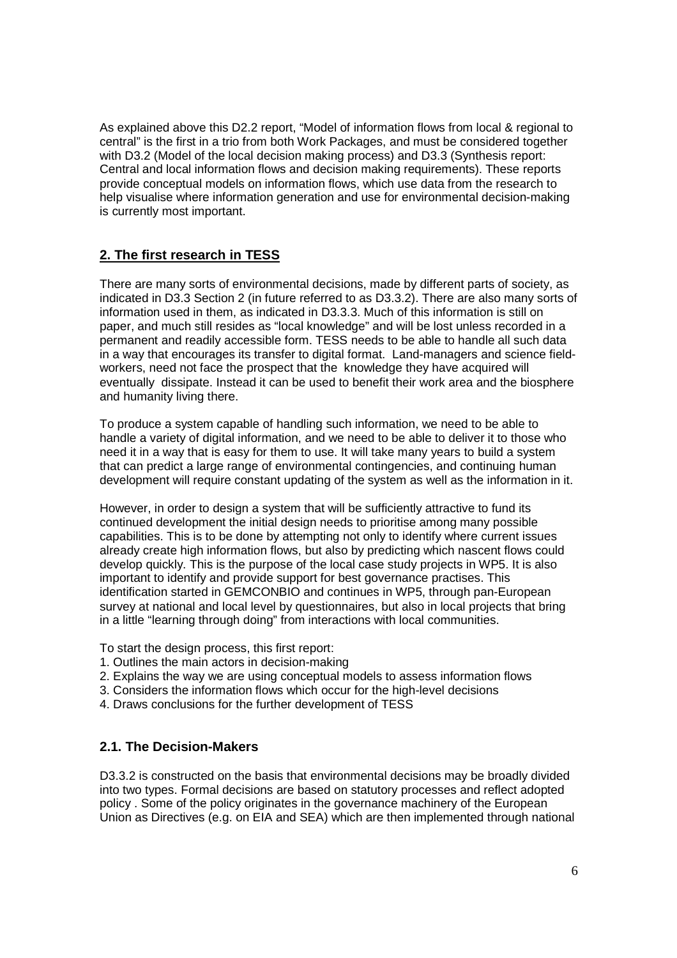As explained above this D2.2 report, "Model of information flows from local & regional to central" is the first in a trio from both Work Packages, and must be considered together with D3.2 (Model of the local decision making process) and D3.3 (Synthesis report: Central and local information flows and decision making requirements). These reports provide conceptual models on information flows, which use data from the research to help visualise where information generation and use for environmental decision-making is currently most important.

# **2. The first research in TESS**

There are many sorts of environmental decisions, made by different parts of society, as indicated in D3.3 Section 2 (in future referred to as D3.3.2). There are also many sorts of information used in them, as indicated in D3.3.3. Much of this information is still on paper, and much still resides as "local knowledge" and will be lost unless recorded in a permanent and readily accessible form. TESS needs to be able to handle all such data in a way that encourages its transfer to digital format. Land-managers and science fieldworkers, need not face the prospect that the knowledge they have acquired will eventually dissipate. Instead it can be used to benefit their work area and the biosphere and humanity living there.

To produce a system capable of handling such information, we need to be able to handle a variety of digital information, and we need to be able to deliver it to those who need it in a way that is easy for them to use. It will take many years to build a system that can predict a large range of environmental contingencies, and continuing human development will require constant updating of the system as well as the information in it.

However, in order to design a system that will be sufficiently attractive to fund its continued development the initial design needs to prioritise among many possible capabilities. This is to be done by attempting not only to identify where current issues already create high information flows, but also by predicting which nascent flows could develop quickly. This is the purpose of the local case study projects in WP5. It is also important to identify and provide support for best governance practises. This identification started in GEMCONBIO and continues in WP5, through pan-European survey at national and local level by questionnaires, but also in local projects that bring in a little "learning through doing" from interactions with local communities.

To start the design process, this first report:

- 1. Outlines the main actors in decision-making
- 2. Explains the way we are using conceptual models to assess information flows
- 3. Considers the information flows which occur for the high-level decisions
- 4. Draws conclusions for the further development of TESS

#### **2.1. The Decision-Makers**

D3.3.2 is constructed on the basis that environmental decisions may be broadly divided into two types. Formal decisions are based on statutory processes and reflect adopted policy . Some of the policy originates in the governance machinery of the European Union as Directives (e.g. on EIA and SEA) which are then implemented through national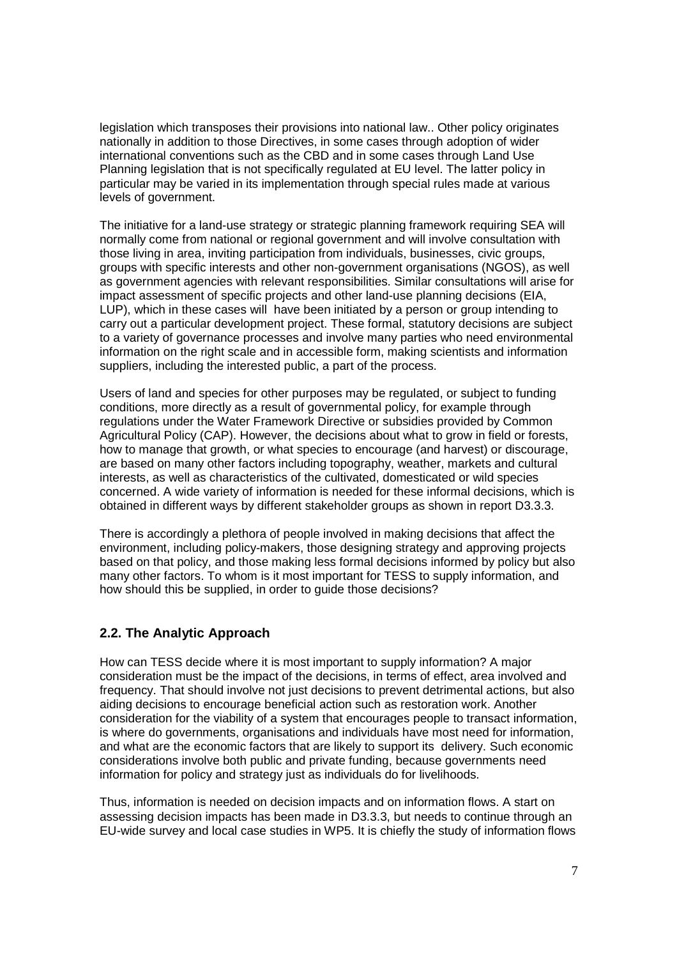legislation which transposes their provisions into national law.. Other policy originates nationally in addition to those Directives, in some cases through adoption of wider international conventions such as the CBD and in some cases through Land Use Planning legislation that is not specifically regulated at EU level. The latter policy in particular may be varied in its implementation through special rules made at various levels of government.

The initiative for a land-use strategy or strategic planning framework requiring SEA will normally come from national or regional government and will involve consultation with those living in area, inviting participation from individuals, businesses, civic groups, groups with specific interests and other non-government organisations (NGOS), as well as government agencies with relevant responsibilities. Similar consultations will arise for impact assessment of specific projects and other land-use planning decisions (EIA, LUP), which in these cases will have been initiated by a person or group intending to carry out a particular development project. These formal, statutory decisions are subject to a variety of governance processes and involve many parties who need environmental information on the right scale and in accessible form, making scientists and information suppliers, including the interested public, a part of the process.

Users of land and species for other purposes may be regulated, or subject to funding conditions, more directly as a result of governmental policy, for example through regulations under the Water Framework Directive or subsidies provided by Common Agricultural Policy (CAP). However, the decisions about what to grow in field or forests, how to manage that growth, or what species to encourage (and harvest) or discourage, are based on many other factors including topography, weather, markets and cultural interests, as well as characteristics of the cultivated, domesticated or wild species concerned. A wide variety of information is needed for these informal decisions, which is obtained in different ways by different stakeholder groups as shown in report D3.3.3.

There is accordingly a plethora of people involved in making decisions that affect the environment, including policy-makers, those designing strategy and approving projects based on that policy, and those making less formal decisions informed by policy but also many other factors. To whom is it most important for TESS to supply information, and how should this be supplied, in order to guide those decisions?

# **2.2. The Analytic Approach**

How can TESS decide where it is most important to supply information? A major consideration must be the impact of the decisions, in terms of effect, area involved and frequency. That should involve not just decisions to prevent detrimental actions, but also aiding decisions to encourage beneficial action such as restoration work. Another consideration for the viability of a system that encourages people to transact information, is where do governments, organisations and individuals have most need for information, and what are the economic factors that are likely to support its delivery. Such economic considerations involve both public and private funding, because governments need information for policy and strategy just as individuals do for livelihoods.

Thus, information is needed on decision impacts and on information flows. A start on assessing decision impacts has been made in D3.3.3, but needs to continue through an EU-wide survey and local case studies in WP5. It is chiefly the study of information flows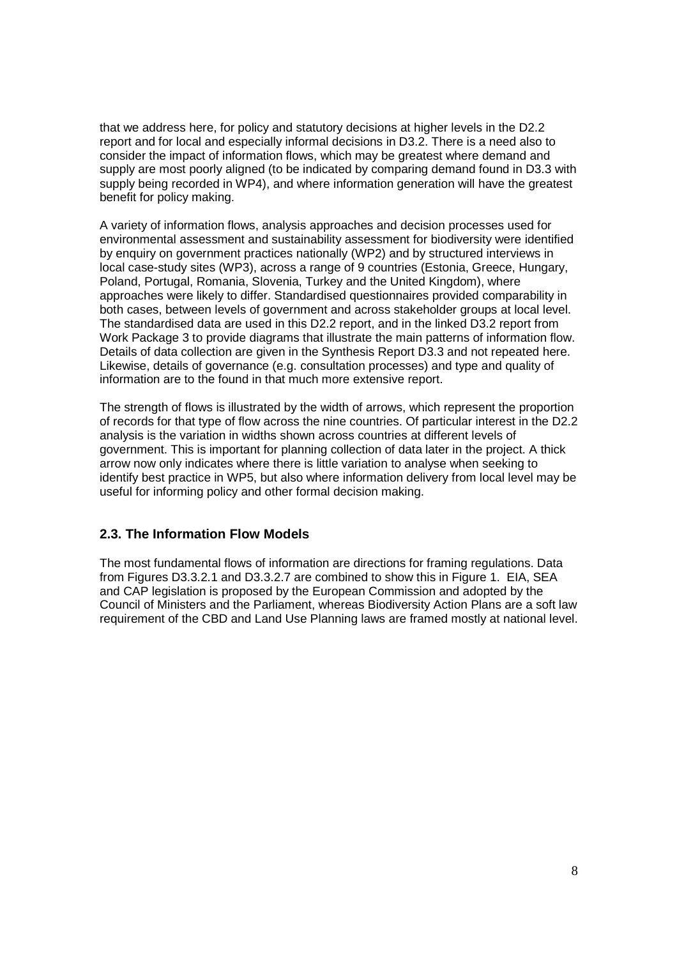that we address here, for policy and statutory decisions at higher levels in the D2.2 report and for local and especially informal decisions in D3.2. There is a need also to consider the impact of information flows, which may be greatest where demand and supply are most poorly aligned (to be indicated by comparing demand found in D3.3 with supply being recorded in WP4), and where information generation will have the greatest benefit for policy making.

A variety of information flows, analysis approaches and decision processes used for environmental assessment and sustainability assessment for biodiversity were identified by enquiry on government practices nationally (WP2) and by structured interviews in local case-study sites (WP3), across a range of 9 countries (Estonia, Greece, Hungary, Poland, Portugal, Romania, Slovenia, Turkey and the United Kingdom), where approaches were likely to differ. Standardised questionnaires provided comparability in both cases, between levels of government and across stakeholder groups at local level. The standardised data are used in this D2.2 report, and in the linked D3.2 report from Work Package 3 to provide diagrams that illustrate the main patterns of information flow. Details of data collection are given in the Synthesis Report D3.3 and not repeated here. Likewise, details of governance (e.g. consultation processes) and type and quality of information are to the found in that much more extensive report.

The strength of flows is illustrated by the width of arrows, which represent the proportion of records for that type of flow across the nine countries. Of particular interest in the D2.2 analysis is the variation in widths shown across countries at different levels of government. This is important for planning collection of data later in the project. A thick arrow now only indicates where there is little variation to analyse when seeking to identify best practice in WP5, but also where information delivery from local level may be useful for informing policy and other formal decision making.

# **2.3. The Information Flow Models**

The most fundamental flows of information are directions for framing regulations. Data from Figures D3.3.2.1 and D3.3.2.7 are combined to show this in Figure 1. EIA, SEA and CAP legislation is proposed by the European Commission and adopted by the Council of Ministers and the Parliament, whereas Biodiversity Action Plans are a soft law requirement of the CBD and Land Use Planning laws are framed mostly at national level.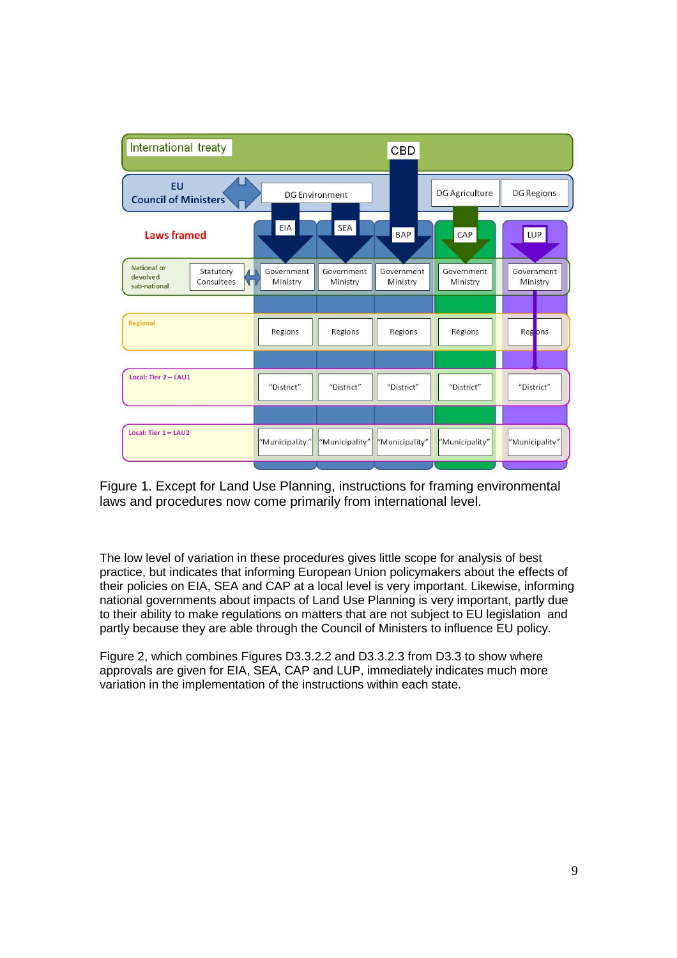| International treaty                                                            |                        |                        | <b>CBD</b>             |                        |                        |
|---------------------------------------------------------------------------------|------------------------|------------------------|------------------------|------------------------|------------------------|
| <b>EU</b><br><b>Council of Ministers</b>                                        | <b>DG Environment</b>  |                        |                        | DG Agriculture         | <b>DG Regions</b>      |
| <b>Laws framed</b>                                                              | EIA                    | <b>SEA</b>             | <b>BAP</b>             | CAP                    | LUP                    |
| <b>National or</b><br>Statutory<br>devolved<br>Consultees<br>VП<br>sub-national | Government<br>Ministry | Government<br>Ministry | Government<br>Ministry | Government<br>Ministry | Government<br>Ministry |
| Regional                                                                        | Regions                | Regions                | Regions                | Regions                | Regions                |
| Local: Tier 2 - LAU1                                                            |                        |                        |                        |                        |                        |
|                                                                                 | "District"             | "District"             | "District"             | "District"             | "District"             |
| Local: Tier 1 - LAU2                                                            | "Municipality"         | "Municipality"         | "Municipality"         | "Municipality"         | "Municipality"         |

Figure 1. Except for Land Use Planning, instructions for framing environmental laws and procedures now come primarily from international level.

The low level of variation in these procedures gives little scope for analysis of best practice, but indicates that informing European Union policymakers about the effects of their policies on EIA, SEA and CAP at a local level is very important. Likewise, informing national governments about impacts of Land Use Planning is very important, partly due to their ability to make regulations on matters that are not subject to EU legislation and partly because they are able through the Council of Ministers to influence EU policy.

Figure 2, which combines Figures D3.3.2.2 and D3.3.2.3 from D3.3 to show where approvals are given for EIA, SEA, CAP and LUP, immediately indicates much more variation in the implementation of the instructions within each state.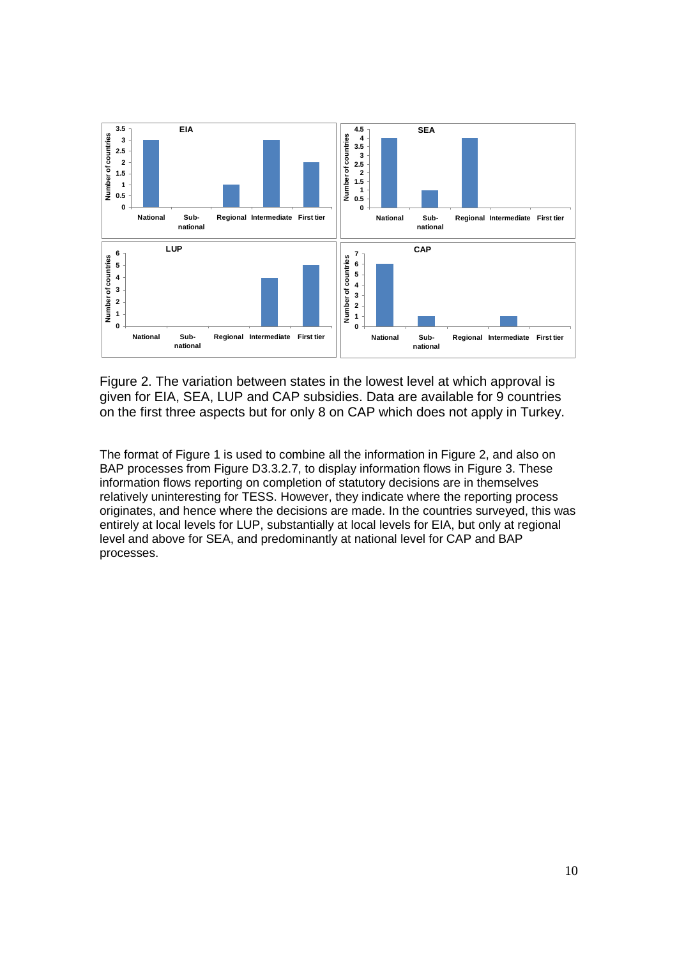

Figure 2. The variation between states in the lowest level at which approval is given for EIA, SEA, LUP and CAP subsidies. Data are available for 9 countries on the first three aspects but for only 8 on CAP which does not apply in Turkey.

The format of Figure 1 is used to combine all the information in Figure 2, and also on BAP processes from Figure D3.3.2.7, to display information flows in Figure 3. These information flows reporting on completion of statutory decisions are in themselves relatively uninteresting for TESS. However, they indicate where the reporting process originates, and hence where the decisions are made. In the countries surveyed, this was entirely at local levels for LUP, substantially at local levels for EIA, but only at regional level and above for SEA, and predominantly at national level for CAP and BAP processes.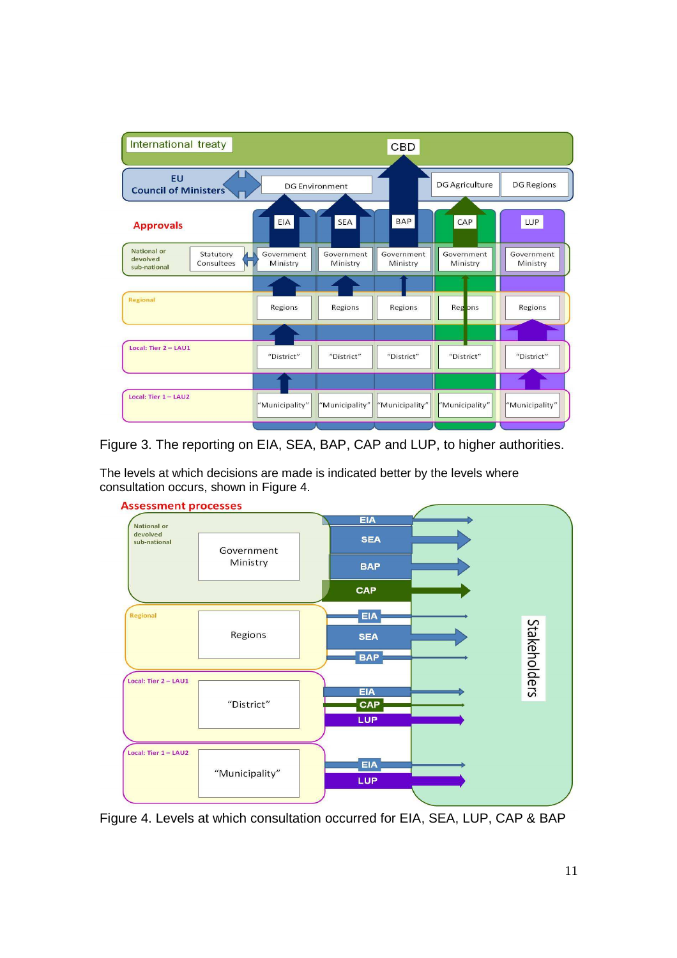| International treaty                                                      |                        |                        | <b>CBD</b>             |                        |                        |
|---------------------------------------------------------------------------|------------------------|------------------------|------------------------|------------------------|------------------------|
| <b>EU</b><br><b>Council of Ministers</b>                                  |                        | <b>DG Environment</b>  |                        | <b>DG Agriculture</b>  | <b>DG Regions</b>      |
| <b>Approvals</b>                                                          | EIA                    | <b>SEA</b>             | <b>BAP</b>             | CAP                    | LUP                    |
| <b>National or</b><br>Statutory<br>devolved<br>Consultees<br>sub-national | Government<br>Ministry | Government<br>Ministry | Government<br>Ministry | Government<br>Ministry | Government<br>Ministry |
|                                                                           |                        |                        |                        |                        |                        |
| Regional                                                                  | Regions                | Regions                | Regions                | Reg ons                | Regions                |
|                                                                           |                        |                        |                        |                        |                        |
| Local: Tier 2 - LAU1                                                      | "District"             | "District"             | "District"             | "District"             | "District"             |
|                                                                           |                        |                        |                        |                        |                        |
| Local: Tier 1 - LAU2                                                      | "Municipality"         | "Municipality"         | "Municipality"         | "Municipality"         | "Municipality"         |
|                                                                           |                        |                        |                        |                        |                        |

Figure 3. The reporting on EIA, SEA, BAP, CAP and LUP, to higher authorities.

The levels at which decisions are made is indicated better by the levels where consultation occurs, shown in Figure 4.



Figure 4. Levels at which consultation occurred for EIA, SEA, LUP, CAP & BAP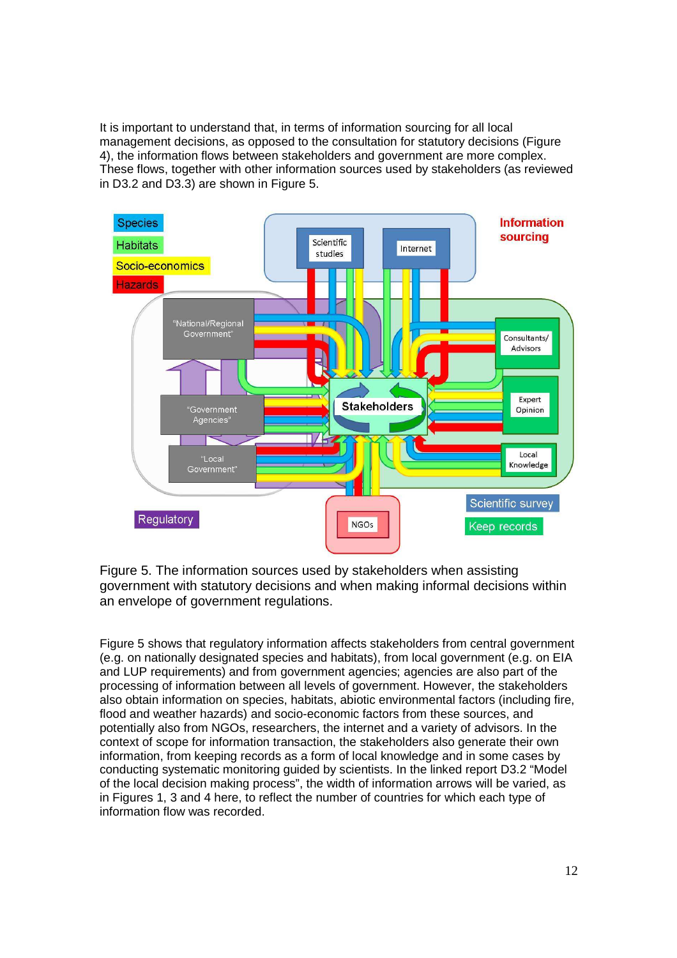It is important to understand that, in terms of information sourcing for all local management decisions, as opposed to the consultation for statutory decisions (Figure 4), the information flows between stakeholders and government are more complex. These flows, together with other information sources used by stakeholders (as reviewed in D3.2 and D3.3) are shown in Figure 5.



Figure 5. The information sources used by stakeholders when assisting government with statutory decisions and when making informal decisions within an envelope of government regulations.

Figure 5 shows that regulatory information affects stakeholders from central government (e.g. on nationally designated species and habitats), from local government (e.g. on EIA and LUP requirements) and from government agencies; agencies are also part of the processing of information between all levels of government. However, the stakeholders also obtain information on species, habitats, abiotic environmental factors (including fire, flood and weather hazards) and socio-economic factors from these sources, and potentially also from NGOs, researchers, the internet and a variety of advisors. In the context of scope for information transaction, the stakeholders also generate their own information, from keeping records as a form of local knowledge and in some cases by conducting systematic monitoring guided by scientists. In the linked report D3.2 "Model of the local decision making process", the width of information arrows will be varied, as in Figures 1, 3 and 4 here, to reflect the number of countries for which each type of information flow was recorded.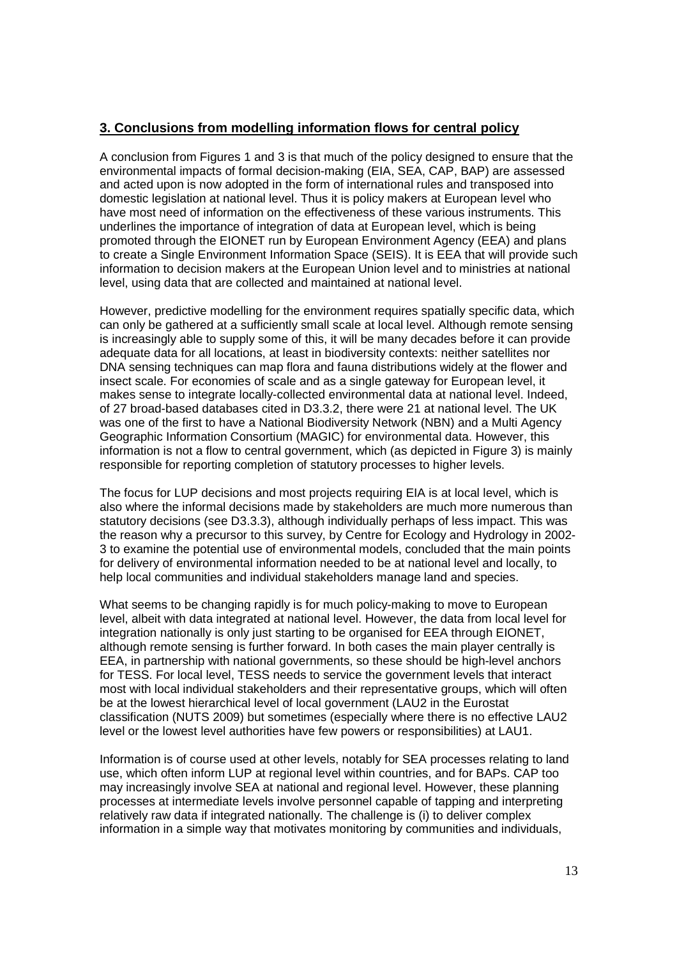# **3. Conclusions from modelling information flows for central policy**

A conclusion from Figures 1 and 3 is that much of the policy designed to ensure that the environmental impacts of formal decision-making (EIA, SEA, CAP, BAP) are assessed and acted upon is now adopted in the form of international rules and transposed into domestic legislation at national level. Thus it is policy makers at European level who have most need of information on the effectiveness of these various instruments. This underlines the importance of integration of data at European level, which is being promoted through the EIONET run by European Environment Agency (EEA) and plans to create a Single Environment Information Space (SEIS). It is EEA that will provide such information to decision makers at the European Union level and to ministries at national level, using data that are collected and maintained at national level.

However, predictive modelling for the environment requires spatially specific data, which can only be gathered at a sufficiently small scale at local level. Although remote sensing is increasingly able to supply some of this, it will be many decades before it can provide adequate data for all locations, at least in biodiversity contexts: neither satellites nor DNA sensing techniques can map flora and fauna distributions widely at the flower and insect scale. For economies of scale and as a single gateway for European level, it makes sense to integrate locally-collected environmental data at national level. Indeed, of 27 broad-based databases cited in D3.3.2, there were 21 at national level. The UK was one of the first to have a National Biodiversity Network (NBN) and a Multi Agency Geographic Information Consortium (MAGIC) for environmental data. However, this information is not a flow to central government, which (as depicted in Figure 3) is mainly responsible for reporting completion of statutory processes to higher levels.

The focus for LUP decisions and most projects requiring EIA is at local level, which is also where the informal decisions made by stakeholders are much more numerous than statutory decisions (see D3.3.3), although individually perhaps of less impact. This was the reason why a precursor to this survey, by Centre for Ecology and Hydrology in 2002- 3 to examine the potential use of environmental models, concluded that the main points for delivery of environmental information needed to be at national level and locally, to help local communities and individual stakeholders manage land and species.

What seems to be changing rapidly is for much policy-making to move to European level, albeit with data integrated at national level. However, the data from local level for integration nationally is only just starting to be organised for EEA through EIONET, although remote sensing is further forward. In both cases the main player centrally is EEA, in partnership with national governments, so these should be high-level anchors for TESS. For local level, TESS needs to service the government levels that interact most with local individual stakeholders and their representative groups, which will often be at the lowest hierarchical level of local government (LAU2 in the Eurostat classification (NUTS 2009) but sometimes (especially where there is no effective LAU2 level or the lowest level authorities have few powers or responsibilities) at LAU1.

Information is of course used at other levels, notably for SEA processes relating to land use, which often inform LUP at regional level within countries, and for BAPs. CAP too may increasingly involve SEA at national and regional level. However, these planning processes at intermediate levels involve personnel capable of tapping and interpreting relatively raw data if integrated nationally. The challenge is (i) to deliver complex information in a simple way that motivates monitoring by communities and individuals,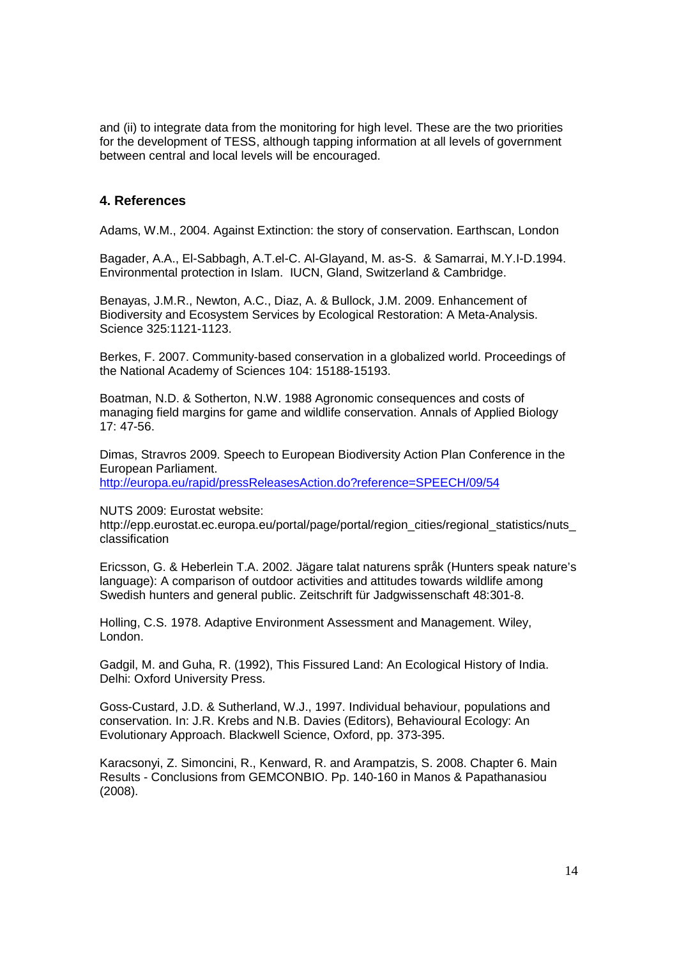and (ii) to integrate data from the monitoring for high level. These are the two priorities for the development of TESS, although tapping information at all levels of government between central and local levels will be encouraged.

#### **4. References**

Adams, W.M., 2004. Against Extinction: the story of conservation. Earthscan, London

Bagader, A.A., El-Sabbagh, A.T.el-C. Al-Glayand, M. as-S. & Samarrai, M.Y.I-D.1994. Environmental protection in Islam. IUCN, Gland, Switzerland & Cambridge.

Benayas, J.M.R., Newton, A.C., Diaz, A. & Bullock, J.M. 2009. Enhancement of Biodiversity and Ecosystem Services by Ecological Restoration: A Meta-Analysis. Science 325:1121-1123.

Berkes, F. 2007. Community-based conservation in a globalized world. Proceedings of the National Academy of Sciences 104: 15188-15193.

Boatman, N.D. & Sotherton, N.W. 1988 Agronomic consequences and costs of managing field margins for game and wildlife conservation. Annals of Applied Biology 17: 47-56.

Dimas, Stravros 2009. Speech to European Biodiversity Action Plan Conference in the European Parliament.

http://europa.eu/rapid/pressReleasesAction.do?reference=SPEECH/09/54

NUTS 2009: Eurostat website:

http://epp.eurostat.ec.europa.eu/portal/page/portal/region\_cities/regional\_statistics/nuts\_ classification

Ericsson, G. & Heberlein T.A. 2002. Jägare talat naturens språk (Hunters speak nature's language): A comparison of outdoor activities and attitudes towards wildlife among Swedish hunters and general public. Zeitschrift für Jadgwissenschaft 48:301-8.

Holling, C.S. 1978. Adaptive Environment Assessment and Management. Wiley, London.

Gadgil, M. and Guha, R. (1992), This Fissured Land: An Ecological History of India. Delhi: Oxford University Press.

Goss-Custard, J.D. & Sutherland, W.J., 1997. Individual behaviour, populations and conservation. In: J.R. Krebs and N.B. Davies (Editors), Behavioural Ecology: An Evolutionary Approach. Blackwell Science, Oxford, pp. 373-395.

Karacsonyi, Z. Simoncini, R., Kenward, R. and Arampatzis, S. 2008. Chapter 6. Main Results - Conclusions from GEMCONBIO. Pp. 140-160 in Manos & Papathanasiou (2008).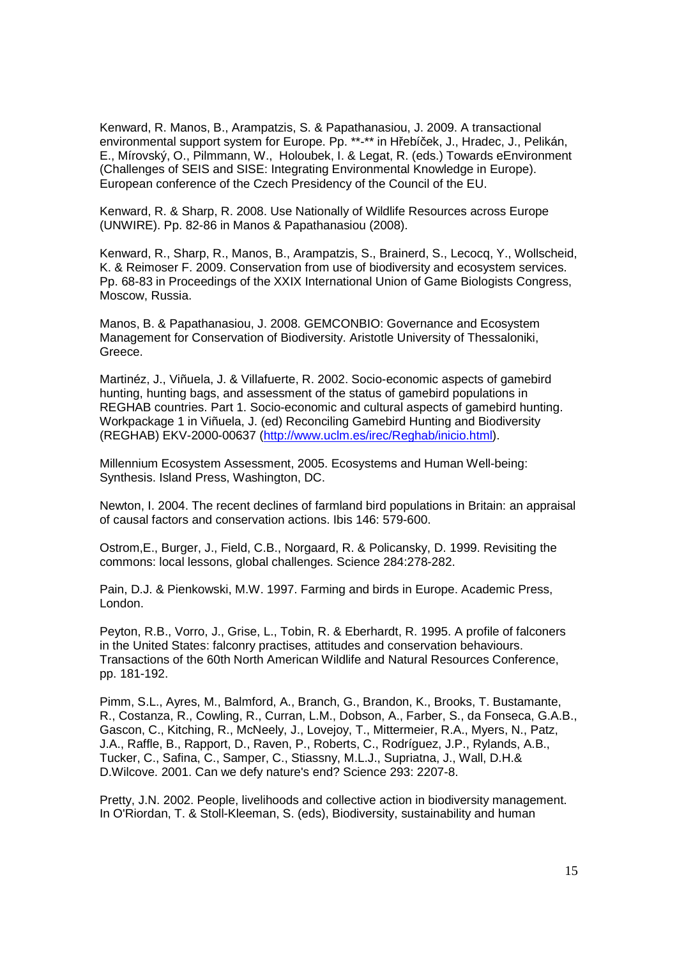Kenward, R. Manos, B., Arampatzis, S. & Papathanasiou, J. 2009. A transactional environmental support system for Europe. Pp. \*\*-\*\* in Hřebíček, J., Hradec, J., Pelikán, E., Mírovský, O., Pilmmann, W., Holoubek, I. & Legat, R. (eds.) Towards eEnvironment (Challenges of SEIS and SISE: Integrating Environmental Knowledge in Europe). European conference of the Czech Presidency of the Council of the EU.

Kenward, R. & Sharp, R. 2008. Use Nationally of Wildlife Resources across Europe (UNWIRE). Pp. 82-86 in Manos & Papathanasiou (2008).

Kenward, R., Sharp, R., Manos, B., Arampatzis, S., Brainerd, S., Lecocq, Y., Wollscheid, K. & Reimoser F. 2009. Conservation from use of biodiversity and ecosystem services. Pp. 68-83 in Proceedings of the XXIX International Union of Game Biologists Congress, Moscow, Russia.

Manos, B. & Papathanasiou, J. 2008. GEMCONBIO: Governance and Ecosystem Management for Conservation of Biodiversity. Aristotle University of Thessaloniki, Greece.

Martinéz, J., Viñuela, J. & Villafuerte, R. 2002. Socio-economic aspects of gamebird hunting, hunting bags, and assessment of the status of gamebird populations in REGHAB countries. Part 1. Socio-economic and cultural aspects of gamebird hunting. Workpackage 1 in Viñuela, J. (ed) Reconciling Gamebird Hunting and Biodiversity (REGHAB) EKV-2000-00637 (http://www.uclm.es/irec/Reghab/inicio.html).

Millennium Ecosystem Assessment, 2005. Ecosystems and Human Well-being: Synthesis. Island Press, Washington, DC.

Newton, I. 2004. The recent declines of farmland bird populations in Britain: an appraisal of causal factors and conservation actions. Ibis 146: 579-600.

Ostrom,E., Burger, J., Field, C.B., Norgaard, R. & Policansky, D. 1999. Revisiting the commons: local lessons, global challenges. Science 284:278-282.

Pain, D.J. & Pienkowski, M.W. 1997. Farming and birds in Europe. Academic Press, London.

Peyton, R.B., Vorro, J., Grise, L., Tobin, R. & Eberhardt, R. 1995. A profile of falconers in the United States: falconry practises, attitudes and conservation behaviours. Transactions of the 60th North American Wildlife and Natural Resources Conference, pp. 181-192.

Pimm, S.L., Ayres, M., Balmford, A., Branch, G., Brandon, K., Brooks, T. Bustamante, R., Costanza, R., Cowling, R., Curran, L.M., Dobson, A., Farber, S., da Fonseca, G.A.B., Gascon, C., Kitching, R., McNeely, J., Lovejoy, T., Mittermeier, R.A., Myers, N., Patz, J.A., Raffle, B., Rapport, D., Raven, P., Roberts, C., Rodríguez, J.P., Rylands, A.B., Tucker, C., Safina, C., Samper, C., Stiassny, M.L.J., Supriatna, J., Wall, D.H.& D.Wilcove. 2001. Can we defy nature's end? Science 293: 2207-8.

Pretty, J.N. 2002. People, livelihoods and collective action in biodiversity management. In O'Riordan, T. & Stoll-Kleeman, S. (eds), Biodiversity, sustainability and human